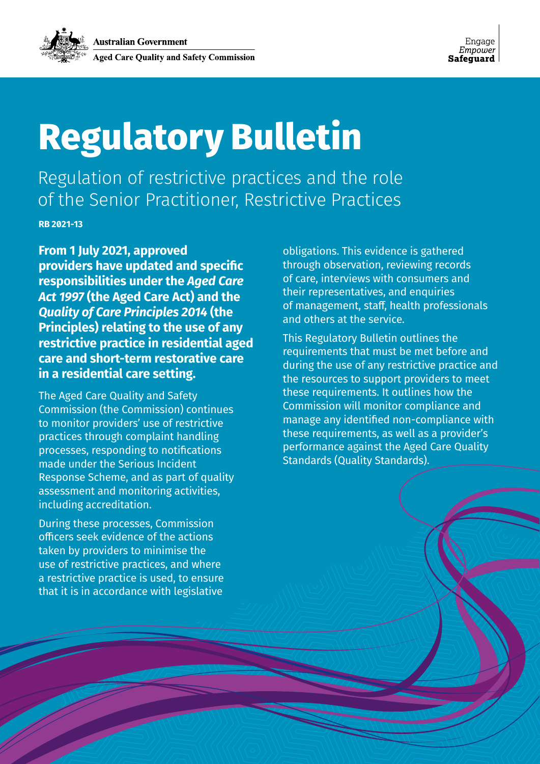# **Regulatory Bulletin**

Regulation of restrictive practices and the role of the Senior Practitioner, Restrictive Practices

**Regulatory Bulletin** Page 1 of 18 **RB 2021-13**

**RB 2021-13**

**From 1 July 2021, approved providers have updated and specific responsibilities under the** *Aged Care Act 1997* **(the Aged Care Act) and the**  *Quality of Care Principles 2014* **(the Principles) relating to the use of any restrictive practice in residential aged care and short-term restorative care in a residential care setting.** 

The Aged Care Quality and Safety Commission (the Commission) continues to monitor providers' use of restrictive practices through complaint handling processes, responding to notifications made under the Serious Incident Response Scheme, and as part of quality assessment and monitoring activities, including accreditation.

During these processes, Commission officers seek evidence of the actions taken by providers to minimise the use of restrictive practices, and where a restrictive practice is used, to ensure that it is in accordance with legislative

obligations. This evidence is gathered through observation, reviewing records of care, interviews with consumers and their representatives, and enquiries of management, staff, health professionals and others at the service.

This Regulatory Bulletin outlines the requirements that must be met before and during the use of any restrictive practice and the resources to support providers to meet these requirements. It outlines how the Commission will monitor compliance and manage any identified non-compliance with these requirements, as well as a provider's performance against the Aged Care Quality Standards (Quality Standards).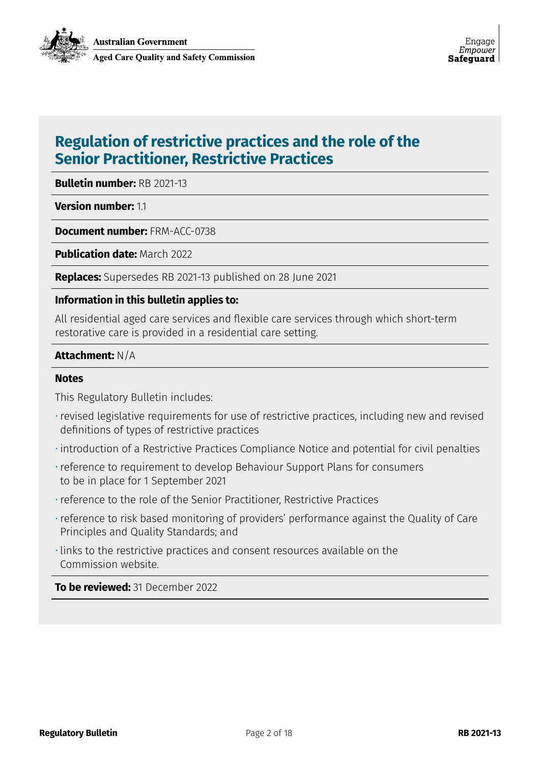### **Regulation of restrictive practices and the role of the Senior Practitioner, Restrictive Practices**

**Bulletin number:** RB 2021-13

**Version number: 11** 

**Document number:** FRM-ACC-0738

**Publication date: March 2022** 

**Replaces:** Supersedes RB 2021-13 published on 28 June 2021

#### **Information in this bulletin applies to:**

All residential aged care services and flexible care services through which short-term restorative care is provided in a residential care setting.

#### **Attachment:** N/A

#### **Notes**

This Regulatory Bulletin includes:

- •revised legislative requirements for use of restrictive practices, including new and revised definitions of types of restrictive practices
- introduction of a Restrictive Practices Compliance Notice and potential for civil penalties
- •reference to requirement to develop Behaviour Support Plans for consumers to be in place for 1 September 2021
- •reference to the role of the Senior Practitioner, Restrictive Practices
- •reference to risk based monitoring of providers' performance against the Quality of Care Principles and Quality Standards; and
- links to the restrictive practices and consent resources available on the Commission website.

**To be reviewed:** 31 December 2022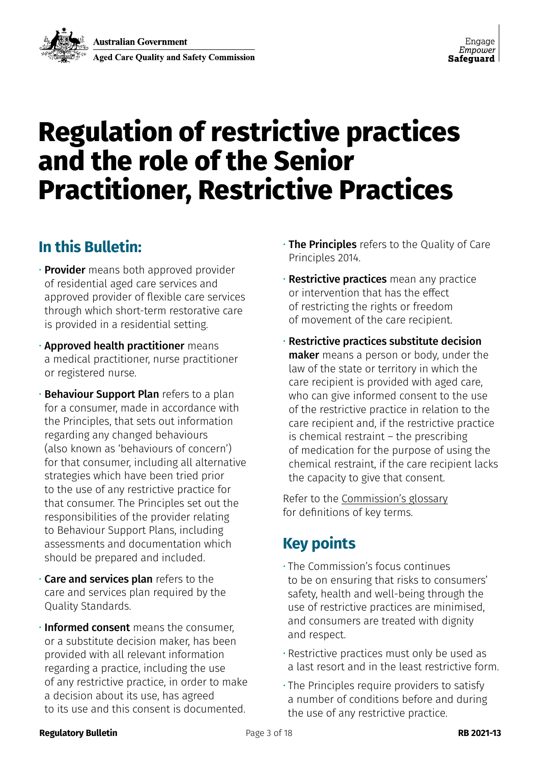## **Regulation of restrictive practices and the role of the Senior Practitioner, Restrictive Practices**

### **In this Bulletin:**

- **Provider** means both approved provider of residential aged care services and approved provider of flexible care services through which short-term restorative care is provided in a residential setting.
- Approved health practitioner means a medical practitioner, nurse practitioner or registered nurse.
- Behaviour Support Plan refers to a plan for a consumer, made in accordance with the Principles, that sets out information regarding any changed behaviours (also known as 'behaviours of concern') for that consumer, including all alternative strategies which have been tried prior to the use of any restrictive practice for that consumer. The Principles set out the responsibilities of the provider relating to Behaviour Support Plans, including assessments and documentation which should be prepared and included.
- Care and services plan refers to the care and services plan required by the Quality Standards.
- **Informed consent** means the consumer, or a substitute decision maker, has been provided with all relevant information regarding a practice, including the use of any restrictive practice, in order to make a decision about its use, has agreed to its use and this consent is documented.
- The Principles refers to the Quality of Care Principles 2014.
- **· Restrictive practices** mean any practice or intervention that has the effect of restricting the rights or freedom of movement of the care recipient.
- Restrictive practices substitute decision maker means a person or body, under the law of the state or territory in which the care recipient is provided with aged care, who can give informed consent to the use of the restrictive practice in relation to the care recipient and, if the restrictive practice is chemical restraint – the prescribing of medication for the purpose of using the chemical restraint, if the care recipient lacks the capacity to give that consent.

Refer to the [Commission's glossary](https://www.agedcarequality.gov.au/about-us/corporate-documents/aged-care-quality-and-safety-commission-glossary) for definitions of key terms.

### **Key points**

- The Commission's focus continues to be on ensuring that risks to consumers' safety, health and well-being through the use of restrictive practices are minimised, and consumers are treated with dignity and respect.
- Restrictive practices must only be used as a last resort and in the least restrictive form.
- The Principles require providers to satisfy a number of conditions before and during the use of any restrictive practice.

#### **Regulatory Bulletin RB 2021-13 Page 3 of 18 <b>RB 2021-13 RB 2021-13**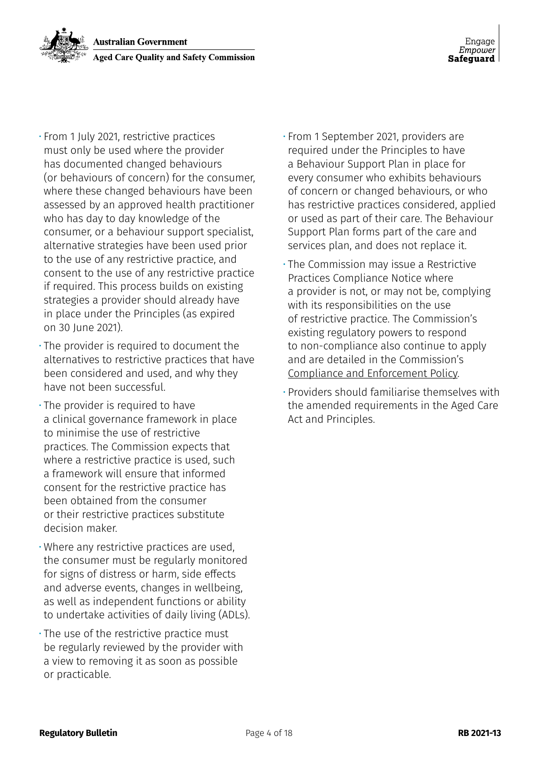- From 1 July 2021, restrictive practices must only be used where the provider has documented changed behaviours (or behaviours of concern) for the consumer, where these changed behaviours have been assessed by an approved health practitioner who has day to day knowledge of the consumer, or a behaviour support specialist, alternative strategies have been used prior to the use of any restrictive practice, and consent to the use of any restrictive practice if required. This process builds on existing strategies a provider should already have in place under the Principles (as expired on 30 June 2021).
- The provider is required to document the alternatives to restrictive practices that have been considered and used, and why they have not been successful.
- The provider is required to have a clinical governance framework in place to minimise the use of restrictive practices. The Commission expects that where a restrictive practice is used, such a framework will ensure that informed consent for the restrictive practice has been obtained from the consumer or their restrictive practices substitute decision maker.
- Where any restrictive practices are used, the consumer must be regularly monitored for signs of distress or harm, side effects and adverse events, changes in wellbeing, as well as independent functions or ability to undertake activities of daily living (ADLs).
- The use of the restrictive practice must be regularly reviewed by the provider with a view to removing it as soon as possible or practicable.
- From 1 September 2021, providers are required under the Principles to have a Behaviour Support Plan in place for every consumer who exhibits behaviours of concern or changed behaviours, or who has restrictive practices considered, applied or used as part of their care. The Behaviour Support Plan forms part of the care and services plan, and does not replace it.
- The Commission may issue a Restrictive Practices Compliance Notice where a provider is not, or may not be, complying with its responsibilities on the use of restrictive practice. The Commission's existing regulatory powers to respond to non-compliance also continue to apply and are detailed in the Commission's [Compliance and Enforcement Policy](https://www.agedcarequality.gov.au/media/89299 ).
- Providers should familiarise themselves with the amended requirements in the Aged Care Act and Principles.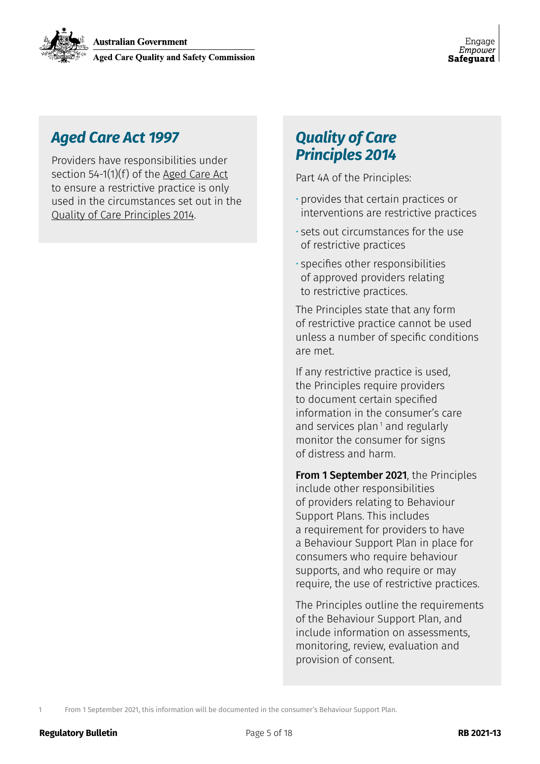### *Aged Care Act 1997*

Providers have responsibilities under section 54-1(1)(f) of the [Aged Care Act](https://www.legislation.gov.au/Series/C2004A05206 ) to ensure a restrictive practice is only used in the circumstances set out in the [Quality of Care Principles 2014.](https://www.legislation.gov.au/Details/F2020C00096 )

### *Quality of Care Principles 2014*

Part 4A of the Principles:

- provides that certain practices or interventions are restrictive practices
- sets out circumstances for the use of restrictive practices
- specifies other responsibilities of approved providers relating to restrictive practices.

The Principles state that any form of restrictive practice cannot be used unless a number of specific conditions are met.

If any restrictive practice is used, the Principles require providers to document certain specified information in the consumer's care and services plan<sup> $1$ </sup> and regularly monitor the consumer for signs of distress and harm.

From 1 September 2021, the Principles include other responsibilities of providers relating to Behaviour Support Plans. This includes a requirement for providers to have a Behaviour Support Plan in place for consumers who require behaviour supports, and who require or may require, the use of restrictive practices.

The Principles outline the requirements of the Behaviour Support Plan, and include information on assessments, monitoring, review, evaluation and provision of consent.

1 From 1 September 2021, this information will be documented in the consumer's Behaviour Support Plan.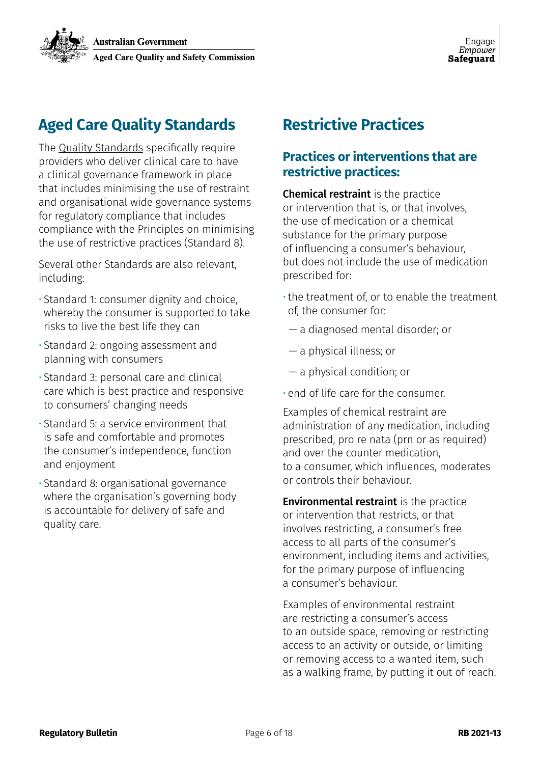### **Aged Care Quality Standards**

The [Quality Standards](https://www.agedcarequality.gov.au/providers/standards ) specifically require providers who deliver clinical care to have a clinical governance framework in place that includes minimising the use of restraint and organisational wide governance systems for regulatory compliance that includes compliance with the Principles on minimising the use of restrictive practices (Standard 8).

Several other Standards are also relevant, including:

- Standard 1: consumer dignity and choice, whereby the consumer is supported to take risks to live the best life they can
- Standard 2: ongoing assessment and planning with consumers
- Standard 3: personal care and clinical care which is best practice and responsive to consumers' changing needs
- Standard 5: a service environment that is safe and comfortable and promotes the consumer's independence, function and enjoyment
- Standard 8: organisational governance where the organisation's governing body is accountable for delivery of safe and quality care.

### **Restrictive Practices**

### **Practices or interventions that are restrictive practices:**

Chemical restraint is the practice or intervention that is, or that involves, the use of medication or a chemical substance for the primary purpose of influencing a consumer's behaviour, but does not include the use of medication prescribed for:

- the treatment of, or to enable the treatment of, the consumer for:
	- a diagnosed mental disorder; or
	- a physical illness; or
	- a physical condition; or
- end of life care for the consumer.

Examples of chemical restraint are administration of any medication, including prescribed, pro re nata (prn or as required) and over the counter medication, to a consumer, which influences, moderates or controls their behaviour.

Environmental restraint is the practice or intervention that restricts, or that involves restricting, a consumer's free access to all parts of the consumer's environment, including items and activities, for the primary purpose of influencing a consumer's behaviour.

Examples of environmental restraint are restricting a consumer's access to an outside space, removing or restricting access to an activity or outside, or limiting or removing access to a wanted item, such as a walking frame, by putting it out of reach.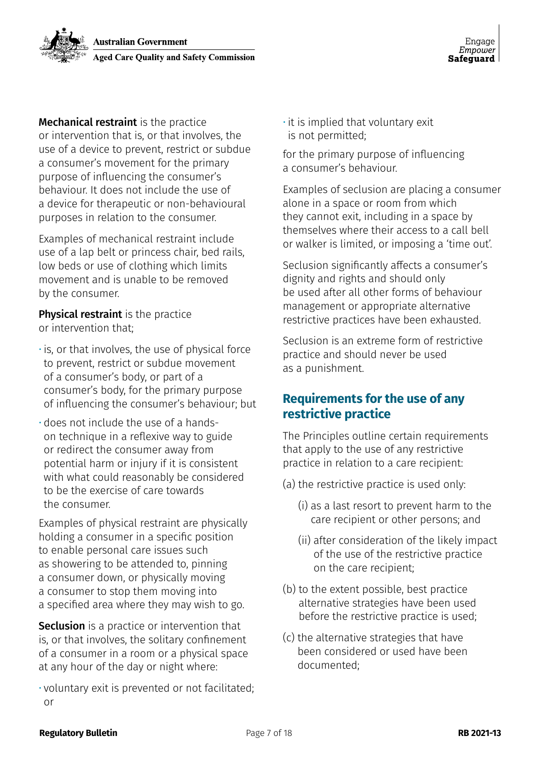

**Mechanical restraint** is the practice or intervention that is, or that involves, the use of a device to prevent, restrict or subdue a consumer's movement for the primary purpose of influencing the consumer's behaviour. It does not include the use of a device for therapeutic or non-behavioural purposes in relation to the consumer.

Examples of mechanical restraint include use of a lap belt or princess chair, bed rails, low beds or use of clothing which limits movement and is unable to be removed by the consumer.

**Physical restraint** is the practice or intervention that;

- is, or that involves, the use of physical force to prevent, restrict or subdue movement of a consumer's body, or part of a consumer's body, for the primary purpose of influencing the consumer's behaviour; but
- does not include the use of a handson technique in a reflexive way to guide or redirect the consumer away from potential harm or injury if it is consistent with what could reasonably be considered to be the exercise of care towards the consumer.

Examples of physical restraint are physically holding a consumer in a specific position to enable personal care issues such as showering to be attended to, pinning a consumer down, or physically moving a consumer to stop them moving into a specified area where they may wish to go.

**Seclusion** is a practice or intervention that is, or that involves, the solitary confinement of a consumer in a room or a physical space at any hour of the day or night where:

• voluntary exit is prevented or not facilitated; or

 $\cdot$  it is implied that voluntary exit is not permitted;

for the primary purpose of influencing a consumer's behaviour.

Examples of seclusion are placing a consumer alone in a space or room from which they cannot exit, including in a space by themselves where their access to a call bell or walker is limited, or imposing a 'time out'.

Seclusion significantly affects a consumer's dignity and rights and should only be used after all other forms of behaviour management or appropriate alternative restrictive practices have been exhausted.

Seclusion is an extreme form of restrictive practice and should never be used as a punishment.

### **Requirements for the use of any restrictive practice**

The Principles outline certain requirements that apply to the use of any restrictive practice in relation to a care recipient:

- (a) the restrictive practice is used only:
	- (i) as a last resort to prevent harm to the care recipient or other persons; and
	- (ii) after consideration of the likely impact of the use of the restrictive practice on the care recipient;
- (b) to the extent possible, best practice alternative strategies have been used before the restrictive practice is used;
- (c) the alternative strategies that have been considered or used have been documented;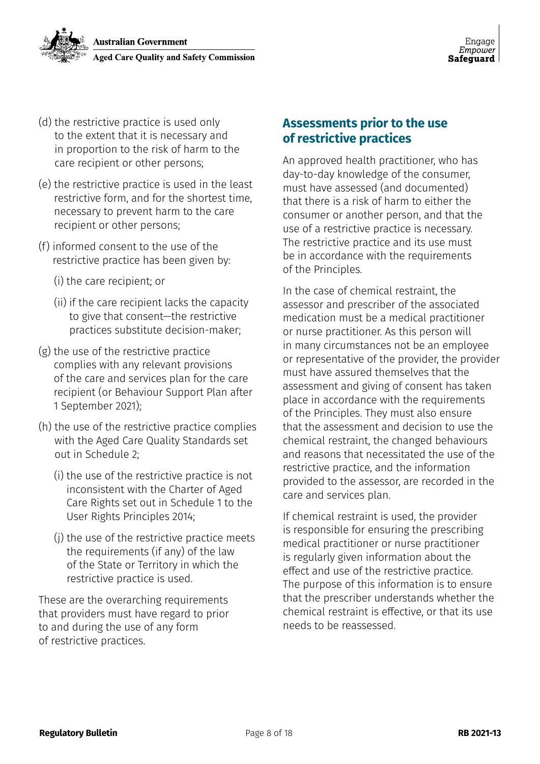

- (d) the restrictive practice is used only to the extent that it is necessary and in proportion to the risk of harm to the care recipient or other persons;
- (e) the restrictive practice is used in the least restrictive form, and for the shortest time, necessary to prevent harm to the care recipient or other persons;
- (f) informed consent to the use of the restrictive practice has been given by:
	- (i) the care recipient; or
	- (ii) if the care recipient lacks the capacity to give that consent—the restrictive practices substitute decision-maker;
- (g) the use of the restrictive practice complies with any relevant provisions of the care and services plan for the care recipient (or Behaviour Support Plan after 1 September 2021);
- (h) the use of the restrictive practice complies with the Aged Care Quality Standards set out in Schedule 2;
	- (i) the use of the restrictive practice is not inconsistent with the Charter of Aged Care Rights set out in Schedule 1 to the User Rights Principles 2014;
	- (j) the use of the restrictive practice meets the requirements (if any) of the law of the State or Territory in which the restrictive practice is used.

These are the overarching requirements that providers must have regard to prior to and during the use of any form of restrictive practices.

#### **Assessments prior to the use of restrictive practices**

An approved health practitioner, who has day-to-day knowledge of the consumer, must have assessed (and documented) that there is a risk of harm to either the consumer or another person, and that the use of a restrictive practice is necessary. The restrictive practice and its use must be in accordance with the requirements of the Principles.

In the case of chemical restraint, the assessor and prescriber of the associated medication must be a medical practitioner or nurse practitioner. As this person will in many circumstances not be an employee or representative of the provider, the provider must have assured themselves that the assessment and giving of consent has taken place in accordance with the requirements of the Principles. They must also ensure that the assessment and decision to use the chemical restraint, the changed behaviours and reasons that necessitated the use of the restrictive practice, and the information provided to the assessor, are recorded in the care and services plan.

If chemical restraint is used, the provider is responsible for ensuring the prescribing medical practitioner or nurse practitioner is regularly given information about the effect and use of the restrictive practice. The purpose of this information is to ensure that the prescriber understands whether the chemical restraint is effective, or that its use needs to be reassessed.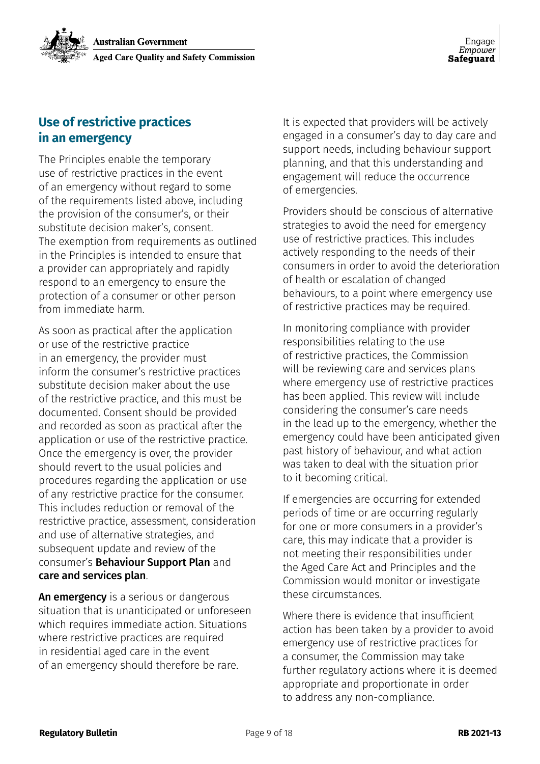### **Use of restrictive practices in an emergency**

The Principles enable the temporary use of restrictive practices in the event of an emergency without regard to some of the requirements listed above, including the provision of the consumer's, or their substitute decision maker's, consent. The exemption from requirements as outlined in the Principles is intended to ensure that a provider can appropriately and rapidly respond to an emergency to ensure the protection of a consumer or other person from immediate harm.

As soon as practical after the application or use of the restrictive practice in an emergency, the provider must inform the consumer's restrictive practices substitute decision maker about the use of the restrictive practice, and this must be documented. Consent should be provided and recorded as soon as practical after the application or use of the restrictive practice. Once the emergency is over, the provider should revert to the usual policies and procedures regarding the application or use of any restrictive practice for the consumer. This includes reduction or removal of the restrictive practice, assessment, consideration and use of alternative strategies, and subsequent update and review of the consumer's Behaviour Support Plan and care and services plan.

An emergency is a serious or dangerous situation that is unanticipated or unforeseen which requires immediate action. Situations where restrictive practices are required in residential aged care in the event of an emergency should therefore be rare.

It is expected that providers will be actively engaged in a consumer's day to day care and support needs, including behaviour support planning, and that this understanding and engagement will reduce the occurrence of emergencies.

Providers should be conscious of alternative strategies to avoid the need for emergency use of restrictive practices. This includes actively responding to the needs of their consumers in order to avoid the deterioration of health or escalation of changed behaviours, to a point where emergency use of restrictive practices may be required.

In monitoring compliance with provider responsibilities relating to the use of restrictive practices, the Commission will be reviewing care and services plans where emergency use of restrictive practices has been applied. This review will include considering the consumer's care needs in the lead up to the emergency, whether the emergency could have been anticipated given past history of behaviour, and what action was taken to deal with the situation prior to it becoming critical.

If emergencies are occurring for extended periods of time or are occurring regularly for one or more consumers in a provider's care, this may indicate that a provider is not meeting their responsibilities under the Aged Care Act and Principles and the Commission would monitor or investigate these circumstances.

Where there is evidence that insufficient action has been taken by a provider to avoid emergency use of restrictive practices for a consumer, the Commission may take further regulatory actions where it is deemed appropriate and proportionate in order to address any non-compliance.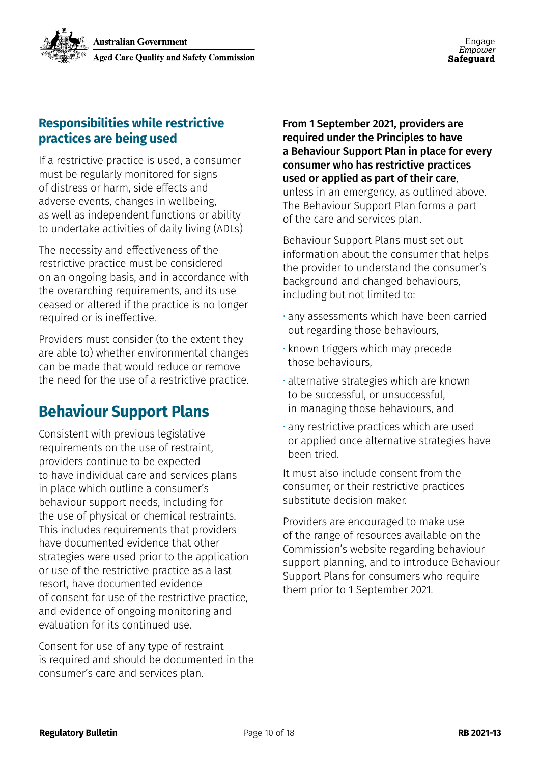### **Responsibilities while restrictive practices are being used**

If a restrictive practice is used, a consumer must be regularly monitored for signs of distress or harm, side effects and adverse events, changes in wellbeing, as well as independent functions or ability to undertake activities of daily living (ADLs)

The necessity and effectiveness of the restrictive practice must be considered on an ongoing basis, and in accordance with the overarching requirements, and its use ceased or altered if the practice is no longer required or is ineffective.

Providers must consider (to the extent they are able to) whether environmental changes can be made that would reduce or remove the need for the use of a restrictive practice.

### **Behaviour Support Plans**

Consistent with previous legislative requirements on the use of restraint, providers continue to be expected to have individual care and services plans in place which outline a consumer's behaviour support needs, including for the use of physical or chemical restraints. This includes requirements that providers have documented evidence that other strategies were used prior to the application or use of the restrictive practice as a last resort, have documented evidence of consent for use of the restrictive practice, and evidence of ongoing monitoring and evaluation for its continued use.

Consent for use of any type of restraint is required and should be documented in the consumer's care and services plan.

From 1 September 2021, providers are required under the Principles to have a Behaviour Support Plan in place for every consumer who has restrictive practices used or applied as part of their care, unless in an emergency, as outlined above.

The Behaviour Support Plan forms a part of the care and services plan.

Behaviour Support Plans must set out information about the consumer that helps the provider to understand the consumer's background and changed behaviours, including but not limited to:

- any assessments which have been carried out regarding those behaviours,
- known triggers which may precede those behaviours,
- alternative strategies which are known to be successful, or unsuccessful, in managing those behaviours, and
- any restrictive practices which are used or applied once alternative strategies have been tried.

It must also include consent from the consumer, or their restrictive practices substitute decision maker.

Providers are encouraged to make use of the range of resources available on the Commission's website regarding behaviour support planning, and to introduce Behaviour Support Plans for consumers who require them prior to 1 September 2021.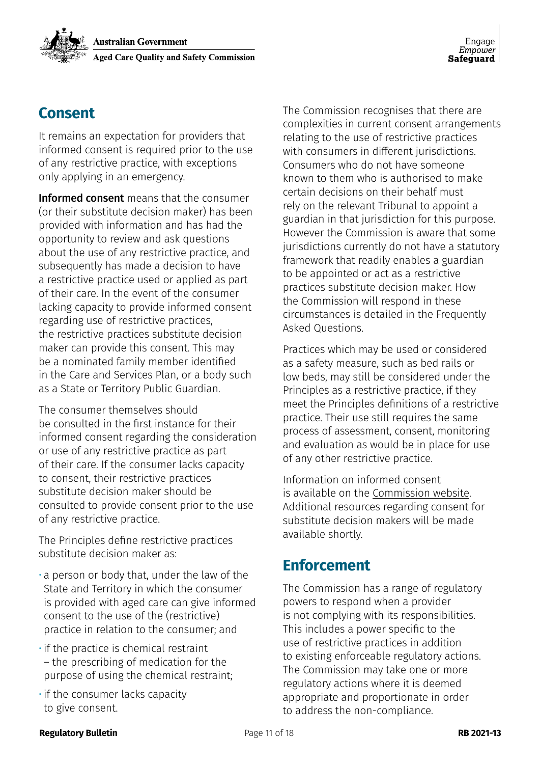### **Consent**

It remains an expectation for providers that informed consent is required prior to the use of any restrictive practice, with exceptions only applying in an emergency.

Informed consent means that the consumer (or their substitute decision maker) has been provided with information and has had the opportunity to review and ask questions about the use of any restrictive practice, and subsequently has made a decision to have a restrictive practice used or applied as part of their care. In the event of the consumer lacking capacity to provide informed consent regarding use of restrictive practices, the restrictive practices substitute decision maker can provide this consent. This may be a nominated family member identified in the Care and Services Plan, or a body such as a State or Territory Public Guardian.

The consumer themselves should be consulted in the first instance for their informed consent regarding the consideration or use of any restrictive practice as part of their care. If the consumer lacks capacity to consent, their restrictive practices substitute decision maker should be consulted to provide consent prior to the use of any restrictive practice.

The Principles define restrictive practices substitute decision maker as:

- a person or body that, under the law of the State and Territory in which the consumer is provided with aged care can give informed consent to the use of the (restrictive) practice in relation to the consumer; and
- if the practice is chemical restraint – the prescribing of medication for the purpose of using the chemical restraint;
- if the consumer lacks capacity to give consent.

The Commission recognises that there are complexities in current consent arrangements relating to the use of restrictive practices with consumers in different jurisdictions. Consumers who do not have someone known to them who is authorised to make certain decisions on their behalf must rely on the relevant Tribunal to appoint a guardian in that jurisdiction for this purpose. However the Commission is aware that some jurisdictions currently do not have a statutory framework that readily enables a guardian to be appointed or act as a restrictive practices substitute decision maker. How the Commission will respond in these circumstances is detailed in the Frequently Asked Questions.

Practices which may be used or considered as a safety measure, such as bed rails or low beds, may still be considered under the Principles as a restrictive practice, if they meet the Principles definitions of a restrictive practice. Their use still requires the same process of assessment, consent, monitoring and evaluation as would be in place for use of any other restrictive practice.

Information on informed consent is available on the [Commission website](https://www.agedcarequality.gov.au/providers/standards/guidance-resources ). Additional resources regarding consent for substitute decision makers will be made available shortly.

### **Enforcement**

The Commission has a range of regulatory powers to respond when a provider is not complying with its responsibilities. This includes a power specific to the use of restrictive practices in addition to existing enforceable regulatory actions. The Commission may take one or more regulatory actions where it is deemed appropriate and proportionate in order to address the non-compliance.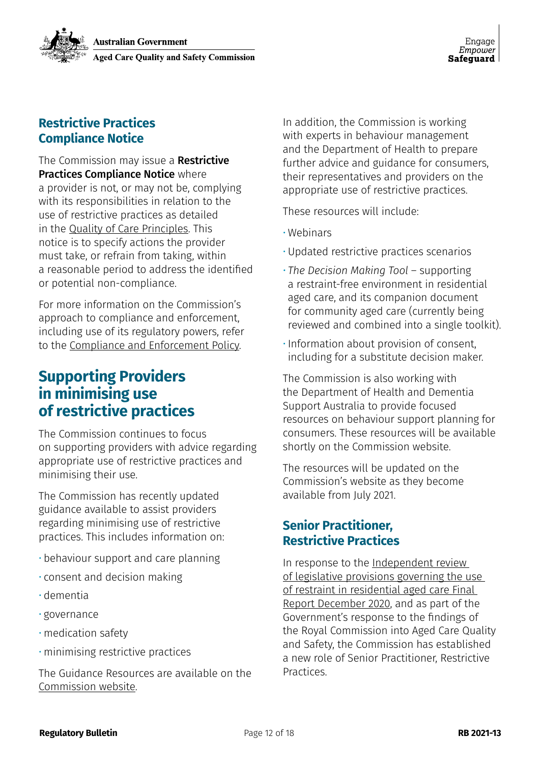### **Restrictive Practices Compliance Notice**

The Commission may issue a Restrictive Practices Compliance Notice where a provider is not, or may not be, complying with its responsibilities in relation to the use of restrictive practices as detailed in the [Quality of Care Principles](https://www.legislation.gov.au/Details/F2020C00096 ). This notice is to specify actions the provider must take, or refrain from taking, within a reasonable period to address the identified or potential non-compliance.

For more information on the Commission's approach to compliance and enforcement, including use of its regulatory powers, refer to the [Compliance and Enforcement Policy.](https://www.agedcarequality.gov.au/media/89299 )

### **Supporting Providers in minimising use of restrictive practices**

The Commission continues to focus on supporting providers with advice regarding appropriate use of restrictive practices and minimising their use.

The Commission has recently updated guidance available to assist providers regarding minimising use of restrictive practices. This includes information on:

- behaviour support and care planning
- consent and decision making
- dementia
- governance
- medication safety
- minimising restrictive practices

The Guidance Resources are available on the [Commission website](https://www.agedcarequality.gov.au/providers/standards/guidance-resources ).

In addition, the Commission is working with experts in behaviour management and the Department of Health to prepare further advice and guidance for consumers, their representatives and providers on the appropriate use of restrictive practices.

These resources will include:

- Webinars
- Updated restrictive practices scenarios
- *• The Decision Making Tool*  supporting a restraint-free environment in residential aged care, and its companion document for community aged care (currently being reviewed and combined into a single toolkit).
- Information about provision of consent, including for a substitute decision maker.

The Commission is also working with the Department of Health and Dementia Support Australia to provide focused resources on behaviour support planning for consumers. These resources will be available shortly on the Commission website.

The resources will be updated on the Commission's website as they become available from July 2021.

### **Senior Practitioner, Restrictive Practices**

In response to the [Independent review](https://www.health.gov.au/resources/publications/independent-review-of-legislative-provisions-governing-the-use-of-restraint-in-residential-aged-care )  [of legislative provisions governing the use](https://www.health.gov.au/resources/publications/independent-review-of-legislative-provisions-governing-the-use-of-restraint-in-residential-aged-care )  [of restraint in residential aged care Final](https://www.health.gov.au/resources/publications/independent-review-of-legislative-provisions-governing-the-use-of-restraint-in-residential-aged-care )  [Report December 2020](https://www.health.gov.au/resources/publications/independent-review-of-legislative-provisions-governing-the-use-of-restraint-in-residential-aged-care ), and as part of the Government's response to the findings of the Royal Commission into Aged Care Quality and Safety, the Commission has established a new role of Senior Practitioner, Restrictive Practices.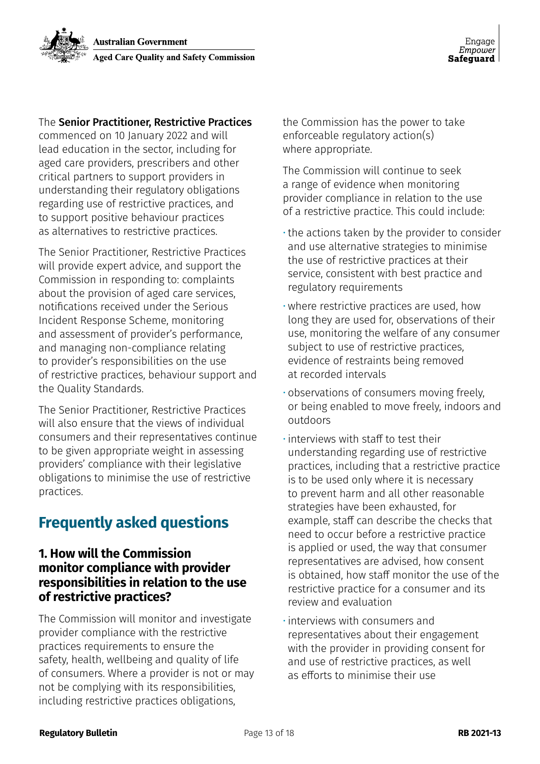#### The Senior Practitioner, Restrictive Practices

commenced on 10 January 2022 and will lead education in the sector, including for aged care providers, prescribers and other critical partners to support providers in understanding their regulatory obligations regarding use of restrictive practices, and to support positive behaviour practices as alternatives to restrictive practices.

The Senior Practitioner, Restrictive Practices will provide expert advice, and support the Commission in responding to: complaints about the provision of aged care services, notifications received under the Serious Incident Response Scheme, monitoring and assessment of provider's performance, and managing non-compliance relating to provider's responsibilities on the use of restrictive practices, behaviour support and the Quality Standards.

The Senior Practitioner, Restrictive Practices will also ensure that the views of individual consumers and their representatives continue to be given appropriate weight in assessing providers' compliance with their legislative obligations to minimise the use of restrictive practices.

### **Frequently asked questions**

#### **1. How will the Commission monitor compliance with provider responsibilities in relation to the use of restrictive practices?**

The Commission will monitor and investigate provider compliance with the restrictive practices requirements to ensure the safety, health, wellbeing and quality of life of consumers. Where a provider is not or may not be complying with its responsibilities, including restrictive practices obligations,

the Commission has the power to take enforceable regulatory action(s) where appropriate.

The Commission will continue to seek a range of evidence when monitoring provider compliance in relation to the use of a restrictive practice. This could include:

- the actions taken by the provider to consider and use alternative strategies to minimise the use of restrictive practices at their service, consistent with best practice and regulatory requirements
- where restrictive practices are used, how long they are used for, observations of their use, monitoring the welfare of any consumer subject to use of restrictive practices, evidence of restraints being removed at recorded intervals
- observations of consumers moving freely, or being enabled to move freely, indoors and outdoors
- interviews with staff to test their understanding regarding use of restrictive practices, including that a restrictive practice is to be used only where it is necessary to prevent harm and all other reasonable strategies have been exhausted, for example, staff can describe the checks that need to occur before a restrictive practice is applied or used, the way that consumer representatives are advised, how consent is obtained, how staff monitor the use of the restrictive practice for a consumer and its review and evaluation
- interviews with consumers and representatives about their engagement with the provider in providing consent for and use of restrictive practices, as well as efforts to minimise their use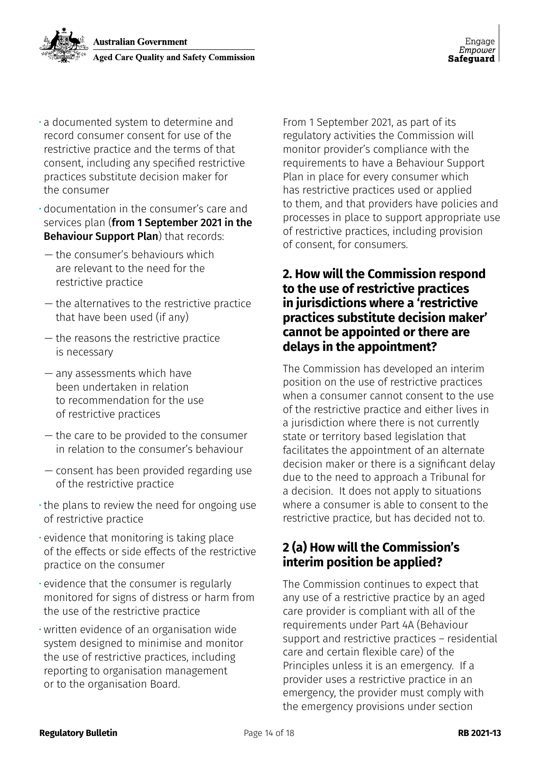- a documented system to determine and record consumer consent for use of the restrictive practice and the terms of that consent, including any specified restrictive practices substitute decision maker for the consumer
- documentation in the consumer's care and services plan (from 1 September 2021 in the Behaviour Support Plan) that records:
- the consumer's behaviours which are relevant to the need for the restrictive practice
- the alternatives to the restrictive practice that have been used (if any)
- the reasons the restrictive practice is necessary
- any assessments which have been undertaken in relation to recommendation for the use of restrictive practices
- the care to be provided to the consumer in relation to the consumer's behaviour
- consent has been provided regarding use of the restrictive practice
- the plans to review the need for ongoing use of restrictive practice
- evidence that monitoring is taking place of the effects or side effects of the restrictive practice on the consumer
- evidence that the consumer is regularly monitored for signs of distress or harm from the use of the restrictive practice
- written evidence of an organisation wide system designed to minimise and monitor the use of restrictive practices, including reporting to organisation management or to the organisation Board.

From 1 September 2021, as part of its regulatory activities the Commission will monitor provider's compliance with the requirements to have a Behaviour Support Plan in place for every consumer which has restrictive practices used or applied to them, and that providers have policies and processes in place to support appropriate use of restrictive practices, including provision of consent, for consumers.

#### **2. How will the Commission respond to the use of restrictive practices in jurisdictions where a 'restrictive practices substitute decision maker' cannot be appointed or there are delays in the appointment?**

The Commission has developed an interim position on the use of restrictive practices when a consumer cannot consent to the use of the restrictive practice and either lives in a jurisdiction where there is not currently state or territory based legislation that facilitates the appointment of an alternate decision maker or there is a significant delay due to the need to approach a Tribunal for a decision. It does not apply to situations where a consumer is able to consent to the restrictive practice, but has decided not to.

### **2 (a) How will the Commission's interim position be applied?**

The Commission continues to expect that any use of a restrictive practice by an aged care provider is compliant with all of the requirements under Part 4A (Behaviour support and restrictive practices – residential care and certain flexible care) of the Principles unless it is an emergency. If a provider uses a restrictive practice in an emergency, the provider must comply with the emergency provisions under section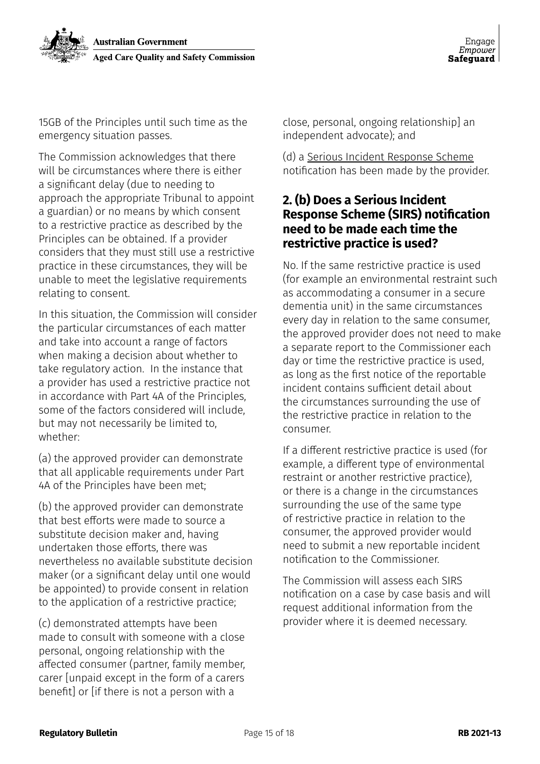15GB of the Principles until such time as the emergency situation passes.

The Commission acknowledges that there will be circumstances where there is either a significant delay (due to needing to approach the appropriate Tribunal to appoint a guardian) or no means by which consent to a restrictive practice as described by the Principles can be obtained. If a provider considers that they must still use a restrictive practice in these circumstances, they will be unable to meet the legislative requirements relating to consent.

In this situation, the Commission will consider the particular circumstances of each matter and take into account a range of factors when making a decision about whether to take regulatory action. In the instance that a provider has used a restrictive practice not in accordance with Part 4A of the Principles, some of the factors considered will include, but may not necessarily be limited to, whether:

(a) the approved provider can demonstrate that all applicable requirements under Part 4A of the Principles have been met;

(b) the approved provider can demonstrate that best efforts were made to source a substitute decision maker and, having undertaken those efforts, there was nevertheless no available substitute decision maker (or a significant delay until one would be appointed) to provide consent in relation to the application of a restrictive practice;

(c) demonstrated attempts have been made to consult with someone with a close personal, ongoing relationship with the affected consumer (partner, family member, carer [unpaid except in the form of a carers benefit] or [if there is not a person with a

close, personal, ongoing relationship] an independent advocate); and

(d) a [Serious Incident Response Scheme](https://www.agedcarequality.gov.au/sirs) notification has been made by the provider.

#### **2. (b) Does a Serious Incident Response Scheme (SIRS) notification need to be made each time the restrictive practice is used?**

No. If the same restrictive practice is used (for example an environmental restraint such as accommodating a consumer in a secure dementia unit) in the same circumstances every day in relation to the same consumer, the approved provider does not need to make a separate report to the Commissioner each day or time the restrictive practice is used, as long as the first notice of the reportable incident contains sufficient detail about the circumstances surrounding the use of the restrictive practice in relation to the consumer.

If a different restrictive practice is used (for example, a different type of environmental restraint or another restrictive practice), or there is a change in the circumstances surrounding the use of the same type of restrictive practice in relation to the consumer, the approved provider would need to submit a new reportable incident notification to the Commissioner.

The Commission will assess each SIRS notification on a case by case basis and will request additional information from the provider where it is deemed necessary.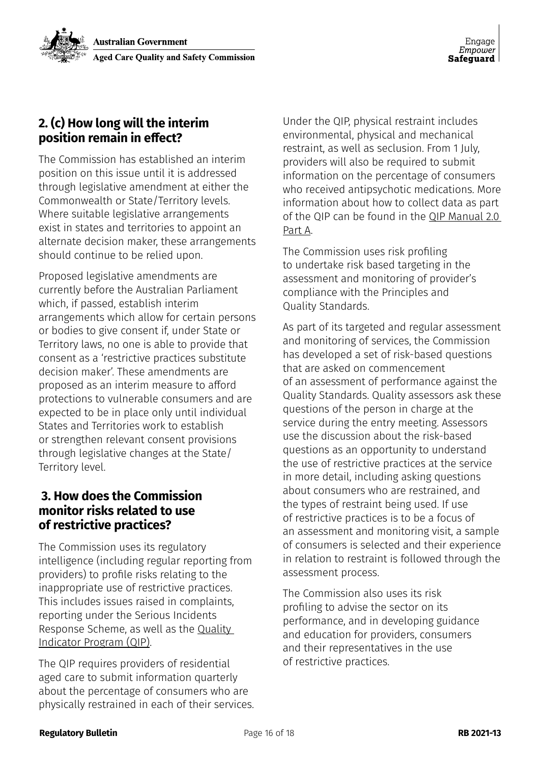### **2. (c) How long will the interim position remain in effect?**

The Commission has established an interim position on this issue until it is addressed through legislative amendment at either the Commonwealth or State/Territory levels. Where suitable legislative arrangements exist in states and territories to appoint an alternate decision maker, these arrangements should continue to be relied upon.

Proposed legislative amendments are currently before the Australian Parliament which, if passed, establish interim arrangements which allow for certain persons or bodies to give consent if, under State or Territory laws, no one is able to provide that consent as a 'restrictive practices substitute decision maker'. These amendments are proposed as an interim measure to afford protections to vulnerable consumers and are expected to be in place only until individual States and Territories work to establish or strengthen relevant consent provisions through legislative changes at the State/ Territory level.

#### **3. How does the Commission monitor risks related to use of restrictive practices?**

The Commission uses its regulatory intelligence (including regular reporting from providers) to profile risks relating to the inappropriate use of restrictive practices. This includes issues raised in complaints, reporting under the Serious Incidents Response Scheme, as well as the [Quality](https://www.health.gov.au/initiatives-and-programs/national-aged-care-mandatory-quality-indicator-program-qi-program)  [Indicator Program \(QIP\)](https://www.health.gov.au/initiatives-and-programs/national-aged-care-mandatory-quality-indicator-program-qi-program).

The QIP requires providers of residential aged care to submit information quarterly about the percentage of consumers who are physically restrained in each of their services. Under the QIP, physical restraint includes environmental, physical and mechanical restraint, as well as seclusion. From 1 July, providers will also be required to submit information on the percentage of consumers who received antipsychotic medications. More information about how to collect data as part of the QIP can be found in the [QIP Manual 2.0](https://www.health.gov.au/resources/publications/national-aged-care-mandatory-quality-indicator-program-manual )  [Part A.](https://www.health.gov.au/resources/publications/national-aged-care-mandatory-quality-indicator-program-manual )

The Commission uses risk profiling to undertake risk based targeting in the assessment and monitoring of provider's compliance with the Principles and Quality Standards.

As part of its targeted and regular assessment and monitoring of services, the Commission has developed a set of risk-based questions that are asked on commencement of an assessment of performance against the Quality Standards. Quality assessors ask these questions of the person in charge at the service during the entry meeting. Assessors use the discussion about the risk-based questions as an opportunity to understand the use of restrictive practices at the service in more detail, including asking questions about consumers who are restrained, and the types of restraint being used. If use of restrictive practices is to be a focus of an assessment and monitoring visit, a sample of consumers is selected and their experience in relation to restraint is followed through the assessment process.

The Commission also uses its risk profiling to advise the sector on its performance, and in developing guidance and education for providers, consumers and their representatives in the use of restrictive practices.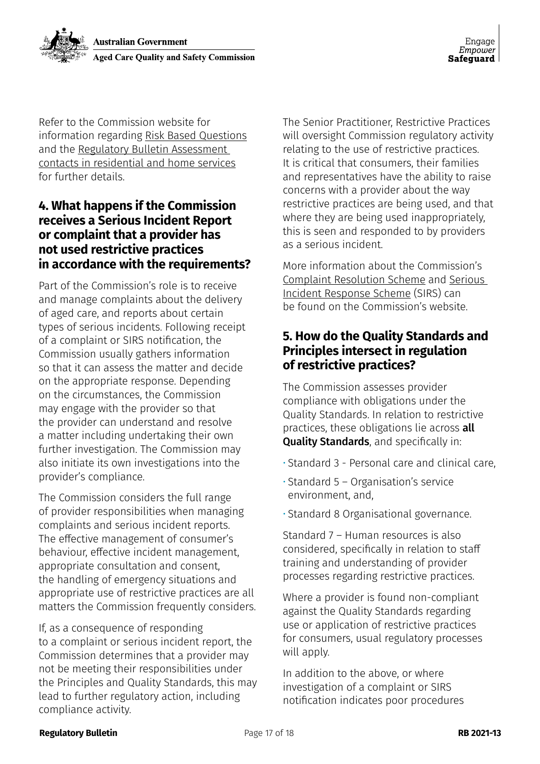

Refer to the Commission website for information regarding Risk Based Questions and the Regulatory Bulletin Assessment contacts in residential and home services for further details.

#### **4. What happens if the Commission receives a Serious Incident Report or complaint that a provider has not used restrictive practices in accordance with the requirements?**

Part of the Commission's role is to receive and manage complaints about the delivery of aged care, and reports about certain types of serious incidents. Following receipt of a complaint or SIRS notification, the Commission usually gathers information so that it can assess the matter and decide on the appropriate response. Depending on the circumstances, the Commission may engage with the provider so that the provider can understand and resolve a matter including undertaking their own further investigation. The Commission may also initiate its own investigations into the provider's compliance.

The Commission considers the full range of provider responsibilities when managing complaints and serious incident reports. The effective management of consumer's behaviour, effective incident management, appropriate consultation and consent, the handling of emergency situations and appropriate use of restrictive practices are all matters the Commission frequently considers.

If, as a consequence of responding to a complaint or serious incident report, the Commission determines that a provider may not be meeting their responsibilities under the Principles and Quality Standards, this may lead to further regulatory action, including compliance activity.

The Senior Practitioner, Restrictive Practices will oversight Commission regulatory activity relating to the use of restrictive practices. It is critical that consumers, their families and representatives have the ability to raise concerns with a provider about the way restrictive practices are being used, and that where they are being used inappropriately, this is seen and responded to by providers as a serious incident.

More information about the Commission's [Complaint Resolution Scheme](https://www.agedcarequality.gov.au/making-complaint/complaints-process ) and [Serious](https://www.agedcarequality.gov.au/sirs )  [Incident Response Scheme](https://www.agedcarequality.gov.au/sirs ) (SIRS) can be found on the Commission's website.

#### **5. How do the Quality Standards and Principles intersect in regulation of restrictive practices?**

The Commission assesses provider compliance with obligations under the Quality Standards. In relation to restrictive practices, these obligations lie across all Quality Standards, and specifically in:

- Standard 3 Personal care and clinical care,
- Standard 5 Organisation's service environment, and,
- Standard 8 Organisational governance.

Standard 7 – Human resources is also considered, specifically in relation to staff training and understanding of provider processes regarding restrictive practices.

Where a provider is found non-compliant against the Quality Standards regarding use or application of restrictive practices for consumers, usual regulatory processes will apply.

In addition to the above, or where investigation of a complaint or SIRS notification indicates poor procedures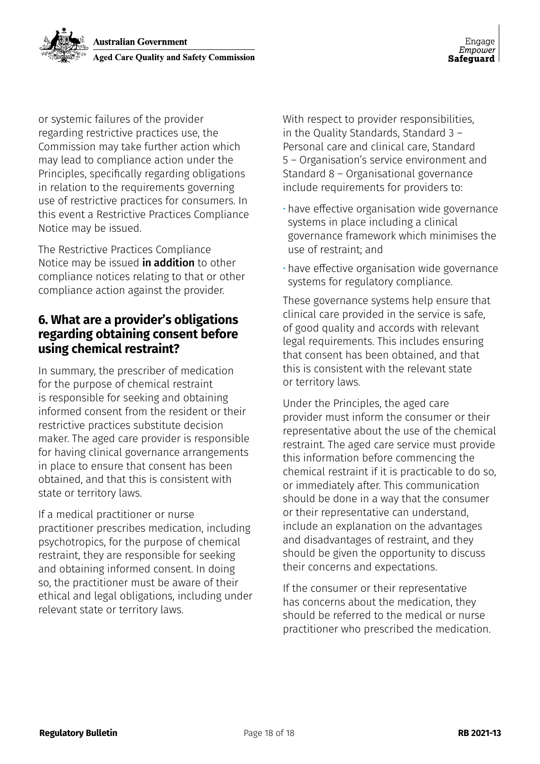or systemic failures of the provider regarding restrictive practices use, the Commission may take further action which may lead to compliance action under the Principles, specifically regarding obligations in relation to the requirements governing use of restrictive practices for consumers. In this event a Restrictive Practices Compliance Notice may be issued.

The Restrictive Practices Compliance Notice may be issued **in addition** to other compliance notices relating to that or other compliance action against the provider.

#### **6. What are a provider's obligations regarding obtaining consent before using chemical restraint?**

In summary, the prescriber of medication for the purpose of chemical restraint is responsible for seeking and obtaining informed consent from the resident or their restrictive practices substitute decision maker. The aged care provider is responsible for having clinical governance arrangements in place to ensure that consent has been obtained, and that this is consistent with state or territory laws.

If a medical practitioner or nurse practitioner prescribes medication, including psychotropics, for the purpose of chemical restraint, they are responsible for seeking and obtaining informed consent. In doing so, the practitioner must be aware of their ethical and legal obligations, including under relevant state or territory laws.

With respect to provider responsibilities, in the Quality Standards, Standard 3 – Personal care and clinical care, Standard 5 – Organisation's service environment and Standard 8 – Organisational governance include requirements for providers to:

- have effective organisation wide governance systems in place including a clinical governance framework which minimises the use of restraint; and
- have effective organisation wide governance systems for regulatory compliance.

These governance systems help ensure that clinical care provided in the service is safe, of good quality and accords with relevant legal requirements. This includes ensuring that consent has been obtained, and that this is consistent with the relevant state or territory laws.

Under the Principles, the aged care provider must inform the consumer or their representative about the use of the chemical restraint. The aged care service must provide this information before commencing the chemical restraint if it is practicable to do so, or immediately after. This communication should be done in a way that the consumer or their representative can understand, include an explanation on the advantages and disadvantages of restraint, and they should be given the opportunity to discuss their concerns and expectations.

If the consumer or their representative has concerns about the medication, they should be referred to the medical or nurse practitioner who prescribed the medication.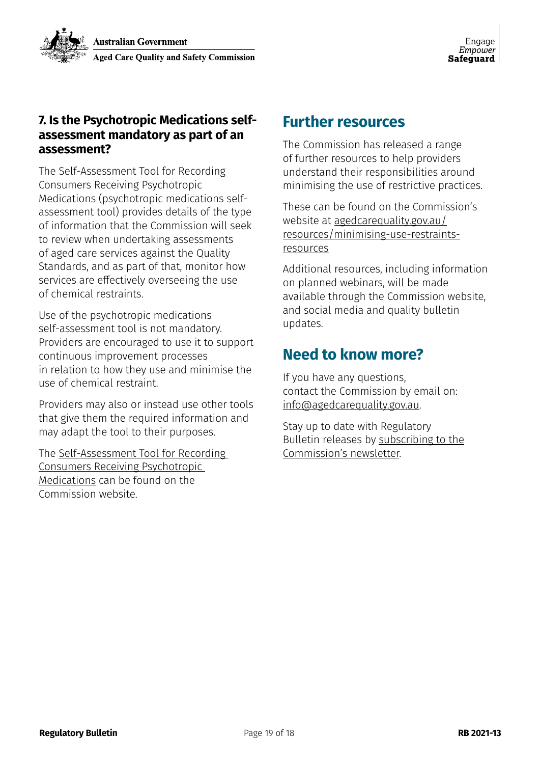#### **7. Is the Psychotropic Medications selfassessment mandatory as part of an assessment?**

The Self-Assessment Tool for Recording Consumers Receiving Psychotropic Medications (psychotropic medications selfassessment tool) provides details of the type of information that the Commission will seek to review when undertaking assessments of aged care services against the Quality Standards, and as part of that, monitor how services are effectively overseeing the use of chemical restraints.

Use of the psychotropic medications self-assessment tool is not mandatory. Providers are encouraged to use it to support continuous improvement processes in relation to how they use and minimise the use of chemical restraint.

Providers may also or instead use other tools that give them the required information and may adapt the tool to their purposes.

The [Self-Assessment Tool for Recording](https://www.agedcarequality.gov.au/providers/assessment-processes/minimising-restraints-use)  [Consumers Receiving Psychotropic](https://www.agedcarequality.gov.au/providers/assessment-processes/minimising-restraints-use)  [Medications](https://www.agedcarequality.gov.au/providers/assessment-processes/minimising-restraints-use) can be found on the Commission website.

### **Further resources**

The Commission has released a range of further resources to help providers understand their responsibilities around minimising the use of restrictive practices.

These can be found on the Commission's website at [agedcarequality.gov.au/](https://www.agedcarequality.gov.au/providers/assessment-processes/minimising-restrictive-practices) [resources/minimising-use-restraints](https://www.agedcarequality.gov.au/providers/assessment-processes/minimising-restrictive-practices)[resources](https://www.agedcarequality.gov.au/providers/assessment-processes/minimising-restrictive-practices)

Additional resources, including information on planned webinars, will be made available through the Commission website, and social media and quality bulletin updates.

### **Need to know more?**

If you have any questions, contact the Commission by email on: [info@agedcarequality.gov.au](mailto:info%40agedcarequality.gov.au?subject=).

Stay up to date with Regulatory Bulletin releases by [subscribing to the](https://www.agedcarequality.gov.au/subscribe) [Commission's newsletter](https://www.agedcarequality.gov.au/subscribe).